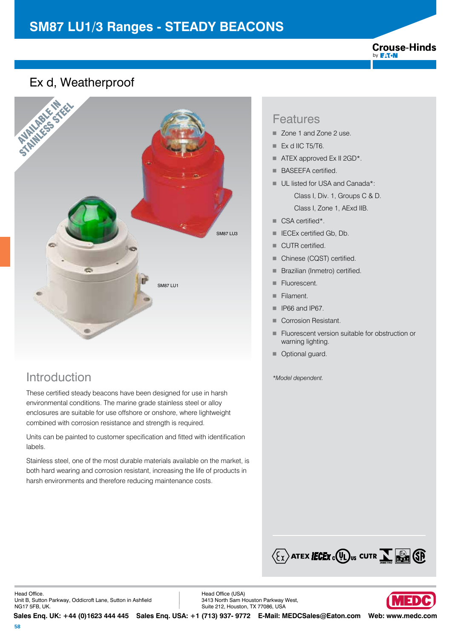#### **Crouse-Hinds** by **F:T.N**

### Ex d, Weatherproof



## Introduction *\*Model dependent.*

These certified steady beacons have been designed for use in harsh environmental conditions. The marine grade stainless steel or alloy enclosures are suitable for use offshore or onshore, where lightweight combined with corrosion resistance and strength is required.

Units can be painted to customer specification and fitted with identification labels.

Stainless steel, one of the most durable materials available on the market, is both hard wearing and corrosion resistant, increasing the life of products in harsh environments and therefore reducing maintenance costs.

#### Features

- Zone 1 and Zone 2 use.
- $\blacksquare$  Ex d IIC T5/T6.
- $\blacksquare$  ATEX approved Ex II 2GD\*.
- BASEEFA certified.
- UL listed for USA and Canada\*:

 Class I, Div. 1, Groups C & D. Class I, Zone 1, AExd IIB.

- CSA certified\*.
- **F** IECEx certified Gb, Db.
- CUTR certified.
- Chinese (CQST) certified.
- **Brazilian (Inmetro) certified.**
- Fluorescent.
- Filament.
- $\blacksquare$  IP66 and IP67.
- Corrosion Resistant.
- Fluorescent version suitable for obstruction or warning lighting.
- Optional quard.



Head Office. Unit B, Sutton Parkway, Oddicroft Lane, Sutton in Ashfield NG17 5FB, UK.

Head Office (USA) 3413 North Sam Houston Parkway West, Suite 212, Houston, TX 77086, USA

**Sales Enq. UK: +44 (0)1623 444 445 Sales Enq. USA: +1 (713) 937- 9772 E-Mail: MEDCSales@Eaton.com Web: www.medc.com** 

13D)